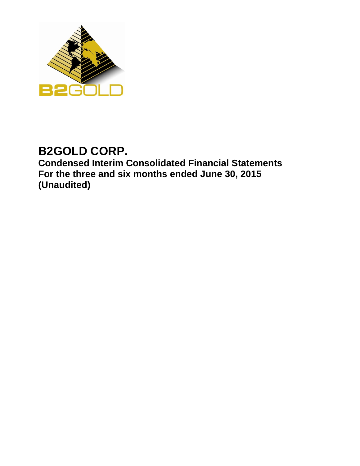

# **B2GOLD CORP.**

**Condensed Interim Consolidated Financial Statements For the three and six months ended June 30, 2015 (Unaudited)**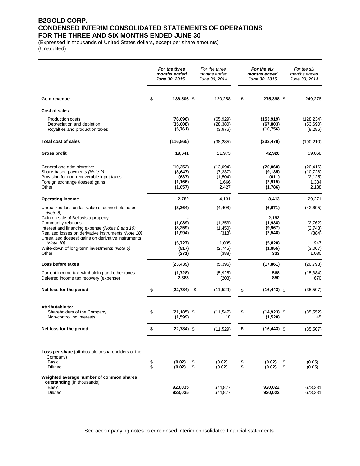### **B2GOLD CORP. CONDENSED INTERIM CONSOLIDATED STATEMENTS OF OPERATIONS FOR THE THREE AND SIX MONTHS ENDED JUNE 30**

(Expressed in thousands of United States dollars, except per share amounts) (Unaudited)

|                                                                                                                                                                                                                                         |          | For the three<br>months ended<br><b>June 30, 2015</b> |          | For the three<br>months ended<br>June 30, 2014    |          | For the six<br>months ended<br><b>June 30, 2015</b> |          | For the six<br>months ended<br>June 30, 2014         |
|-----------------------------------------------------------------------------------------------------------------------------------------------------------------------------------------------------------------------------------------|----------|-------------------------------------------------------|----------|---------------------------------------------------|----------|-----------------------------------------------------|----------|------------------------------------------------------|
| Gold revenue                                                                                                                                                                                                                            | \$       | 136,506 \$                                            |          | 120.258                                           | \$       | 275,398 \$                                          |          | 249,278                                              |
| Cost of sales                                                                                                                                                                                                                           |          |                                                       |          |                                                   |          |                                                     |          |                                                      |
| <b>Production costs</b><br>Depreciation and depletion<br>Royalties and production taxes                                                                                                                                                 |          | (76,096)<br>(35,008)<br>(5,761)                       |          | (65, 929)<br>(28, 380)<br>(3,976)                 |          | (153, 919)<br>(67, 803)<br>(10, 756)                |          | (128, 234)<br>(53,690)<br>(8, 286)                   |
| <b>Total cost of sales</b>                                                                                                                                                                                                              |          | (116, 865)                                            |          | (98, 285)                                         |          | (232, 478)                                          |          | (190, 210)                                           |
| <b>Gross profit</b>                                                                                                                                                                                                                     |          | 19,641                                                |          | 21,973                                            |          | 42,920                                              |          | 59,068                                               |
| General and administrative<br>Share-based payments (Note 9)<br>Provision for non-recoverable input taxes<br>Foreign exchange (losses) gains<br>Other                                                                                    |          | (10, 352)<br>(3,647)<br>(637)<br>(1, 166)<br>(1,057)  |          | (13,094)<br>(7, 337)<br>(1,504)<br>1,666<br>2,427 |          | (20,060)<br>(9, 135)<br>(611)<br>(2,915)<br>(1,786) |          | (20, 416)<br>(10, 728)<br>(2, 125)<br>1,334<br>2,138 |
| <b>Operating income</b>                                                                                                                                                                                                                 |          | 2,782                                                 |          | 4,131                                             |          | 8,413                                               |          | 29,271                                               |
| Unrealized loss on fair value of convertible notes                                                                                                                                                                                      |          | (8, 364)                                              |          | (4, 408)                                          |          | (6,671)                                             |          | (42, 695)                                            |
| (Note 8)<br>Gain on sale of Bellavista property<br>Community relations<br>Interest and financing expense (Notes 8 and 10)<br>Realized losses on derivative instruments (Note 10)<br>Unrealized (losses) gains on derivative instruments |          | (1,089)<br>(8,259)<br>(1,994)                         |          | (1,253)<br>(1,450)<br>(318)                       |          | 2,192<br>(1,938)<br>(9,967)<br>(2, 548)             |          | (2.762)<br>(2,743)<br>(884)                          |
| (Note 10)<br>Write-down of long-term investments (Note 5)<br>Other                                                                                                                                                                      |          | (5,727)<br>(517)<br>(271)                             |          | 1,035<br>(2,745)<br>(388)                         |          | (5,820)<br>(1, 855)<br>333                          |          | 947<br>(3,007)<br>1,080                              |
| Loss before taxes                                                                                                                                                                                                                       |          | (23, 439)                                             |          | (5,396)                                           |          | (17, 861)                                           |          | (20, 793)                                            |
| Current income tax, withholding and other taxes<br>Deferred income tax recovery (expense)                                                                                                                                               |          | (1,728)<br>2,383                                      |          | (5,925)<br>(208)                                  |          | 568<br>850                                          |          | (15, 384)<br>670                                     |
| Net loss for the period                                                                                                                                                                                                                 | \$       | $(22,784)$ \$                                         |          | (11,529)                                          | \$       | $(16, 443)$ \$                                      |          | (35, 507)                                            |
| Attributable to:<br>Shareholders of the Company<br>Non-controlling interests                                                                                                                                                            | \$       | $(21, 185)$ \$<br>(1,599)                             |          | (11, 547)<br>18                                   | \$       | $(14, 923)$ \$<br>(1,520)                           |          | (35, 552)<br>45                                      |
| Net loss for the period                                                                                                                                                                                                                 | \$       | $(22, 784)$ \$                                        |          | (11,529)                                          | \$       | $(16, 443)$ \$                                      |          | (35, 507)                                            |
| Loss per share (attributable to shareholders of the<br>Company)<br>Basic<br>Diluted                                                                                                                                                     | \$<br>\$ | (0.02)<br>(0.02)                                      | \$<br>\$ | (0.02)<br>(0.02)                                  | \$<br>\$ | (0.02)<br>(0.02)                                    | \$<br>\$ | (0.05)<br>(0.05)                                     |
| Weighted average number of common shares<br>outstanding (in thousands)<br>Basic<br>Diluted                                                                                                                                              |          | 923,035<br>923,035                                    |          | 674,877<br>674,877                                |          | 920,022<br>920,022                                  |          | 673,381<br>673,381                                   |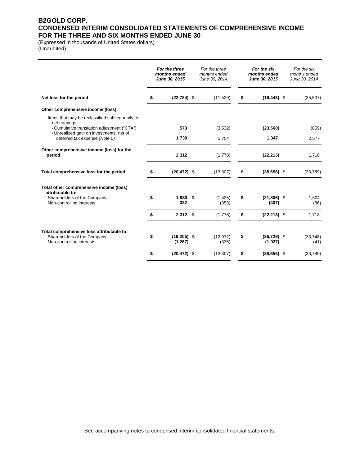### **B2GOLD CORP. CONDENSED INTERIM CONSOLIDATED STATEMENTS OF COMPREHENSIVE INCOME FOR THE THREE AND SIX MONTHS ENDED JUNE 30**

(Expressed in thousands of United States dollars) (Unaudited)

|                                                                                                       | For the three<br>months ended<br>June 30, 2015 | For the three<br>months ended<br>June 30, 2014 | For the six<br>months ended<br>June 30, 2015 | For the six<br>months ended<br>June 30, 2014 |
|-------------------------------------------------------------------------------------------------------|------------------------------------------------|------------------------------------------------|----------------------------------------------|----------------------------------------------|
| Net loss for the period                                                                               | \$<br>$(22, 784)$ \$                           | (11, 529)                                      | \$<br>$(16, 443)$ \$                         | (35, 507)                                    |
| Other comprehensive income (loss)                                                                     |                                                |                                                |                                              |                                              |
| Items that may be reclassified subsequently to<br>net earnings:                                       |                                                |                                                |                                              |                                              |
| - Cumulative translation adjustment ("CTA")<br>- Unrealized gain on investments, net of               | 573                                            | (3,532)                                        | (23, 560)                                    | (859)                                        |
| deferred tax expense (Note 5)                                                                         | 1,739                                          | 1,754                                          | 1,347                                        | 2,577                                        |
| Other comprehensive income (loss) for the<br>period                                                   | 2,312                                          | (1,778)                                        | (22, 213)                                    | 1,718                                        |
| Total comprehensive loss for the period                                                               | \$<br>$(20, 472)$ \$                           | (13, 307)                                      | \$<br>$(38, 656)$ \$                         | (33,789)                                     |
| Total other comprehensive income (loss)<br>attributable to:                                           |                                                |                                                |                                              |                                              |
| Shareholders of the Company<br>Non-controlling interests                                              | \$<br>$1,980$ \$<br>332                        | (1, 425)<br>(353)                              | \$<br>$(21, 806)$ \$<br>(407)                | 1,804<br>(86)                                |
|                                                                                                       | \$<br>$2,312$ \$                               | (1,778)                                        | \$<br>$(22, 213)$ \$                         | 1,718                                        |
| Total comprehensive loss attributable to:<br>Shareholders of the Company<br>Non-controlling interests | \$<br>$(19,205)$ \$<br>(1,267)                 | (12, 972)<br>(335)                             | \$<br>$(36, 729)$ \$<br>(1, 927)             | (33, 748)<br>(41)                            |
|                                                                                                       | \$<br>$(20, 472)$ \$                           | (13, 307)                                      | \$<br>$(38, 656)$ \$                         | (33,789)                                     |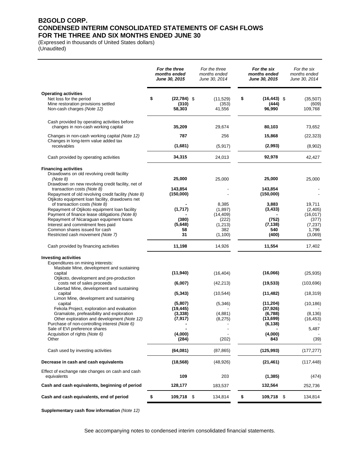### **B2GOLD CORP. CONDENSED INTERIM CONSOLIDATED STATEMENTS OF CASH FLOWS FOR THE THREE AND SIX MONTHS ENDED JUNE 30**

(Expressed in thousands of United States dollars) (Unaudited)

|                                                                                                | For the three<br>months ended<br>June 30, 2015 | For the three<br>months ended<br>June 30, 2014 | For the six<br>months ended<br>June 30, 2015 | For the six<br>months ended<br>June 30, 2014 |
|------------------------------------------------------------------------------------------------|------------------------------------------------|------------------------------------------------|----------------------------------------------|----------------------------------------------|
| <b>Operating activities</b>                                                                    |                                                |                                                |                                              |                                              |
| Net loss for the period<br>Mine restoration provisions settled                                 | \$<br>$(22, 784)$ \$<br>(310)                  | (11,529)<br>(353)                              | \$<br>$(16, 443)$ \$<br>(444)                | (35, 507)<br>(609)                           |
| Non-cash charges (Note 12)                                                                     | 58,303                                         | 41,556                                         | 96,990                                       | 109,768                                      |
| Cash provided by operating activities before<br>changes in non-cash working capital            | 35,209                                         | 29,674                                         | 80,103                                       | 73,652                                       |
| Changes in non-cash working capital (Note 12)                                                  | 787                                            | 256                                            | 15,868                                       | (22, 323)                                    |
| Changes in long-term value added tax                                                           |                                                |                                                |                                              |                                              |
| receivables                                                                                    | (1,681)                                        | (5, 917)                                       | (2,993)                                      | (8,902)                                      |
| Cash provided by operating activities                                                          | 34,315                                         | 24,013                                         | 92,978                                       | 42,427                                       |
| <b>Financing activities</b>                                                                    |                                                |                                                |                                              |                                              |
| Drawdowns on old revolving credit facility<br>(Note 8)                                         | 25,000                                         | 25,000                                         | 25,000                                       | 25,000                                       |
| Drawdown on new revolving credit facility, net of                                              |                                                |                                                |                                              |                                              |
| transaction costs (Note 8)<br>Repayment of old revolving credit facility (Note 8)              | 143.854<br>(150,000)                           |                                                | 143,854<br>(150,000)                         |                                              |
| Otjikoto equipment loan facility, drawdowns net                                                |                                                |                                                |                                              |                                              |
| of transaction costs (Note 8)                                                                  |                                                | 8,385                                          | 3,883                                        | 19,711                                       |
| Repayment of Otjikoto equipment loan facility<br>Payment of finance lease obligations (Note 8) | (1,717)                                        | (1,897)<br>(14, 409)                           | (3, 433)                                     | (2,405)<br>(16, 017)                         |
| Repayment of Nicaraguan equipment loans                                                        | (380)                                          | (222)                                          | (752)                                        | (377)                                        |
| Interest and commitment fees paid                                                              | (5,648)                                        | (1,213)                                        | (7, 138)                                     | (7, 237)                                     |
| Common shares issued for cash                                                                  | 58                                             | 382                                            | 540                                          | 1,796                                        |
| Restricted cash movement (Note 7)                                                              | 31                                             | (1, 100)                                       | (400)                                        | (3,069)                                      |
| Cash provided by financing activities                                                          | 11,198                                         | 14,926                                         | 11,554                                       | 17,402                                       |
| <b>Investing activities</b>                                                                    |                                                |                                                |                                              |                                              |
| Expenditures on mining interests:                                                              |                                                |                                                |                                              |                                              |
| Masbate Mine, development and sustaining                                                       |                                                |                                                |                                              |                                              |
| capital                                                                                        | (11,940)                                       | (16, 404)                                      | (16,066)                                     | (25, 935)                                    |
| Otjikoto, development and pre-production<br>costs net of sales proceeds                        | (6,007)                                        | (42, 213)                                      | (19, 533)                                    | (103, 696)                                   |
| Libertad Mine, development and sustaining                                                      |                                                |                                                |                                              |                                              |
| capital<br>Limon Mine, development and sustaining                                              | (5, 343)                                       | (10, 544)                                      | (11, 482)                                    | (18, 319)                                    |
| capital                                                                                        | (5,807)                                        | (5, 346)                                       | (11, 204)                                    | (10, 186)                                    |
| Fekola Project, exploration and evaluation                                                     | (19, 445)                                      |                                                | (37, 926)                                    |                                              |
| Gramalote, prefeasibility and exploration<br>Other exploration and development (Note 12)       | (3,338)                                        | (4,881)<br>(8,275)                             | (6,788)<br>(13, 699)                         | (8, 136)<br>(16, 453)                        |
| Purchase of non-controlling interest (Note 6)                                                  | (7, 917)                                       |                                                | (6, 138)                                     |                                              |
| Sale of EVI preference shares                                                                  |                                                |                                                |                                              | 5,487                                        |
| Acquisition of rights (Note 6)                                                                 | (4,000)                                        |                                                | (4,000)                                      |                                              |
| Other                                                                                          | (284)                                          | (202)                                          | 843                                          | (39)                                         |
| Cash used by investing activities                                                              | (64,081)                                       | (87, 865)                                      | (125,993)                                    | (177, 277)                                   |
| Decrease in cash and cash equivalents                                                          | (18, 568)                                      | (48, 926)                                      | (21, 461)                                    | (117, 448)                                   |
| Effect of exchange rate changes on cash and cash                                               |                                                |                                                |                                              |                                              |
| equivalents                                                                                    | 109                                            | 203                                            | (1, 385)                                     | (474)                                        |
| Cash and cash equivalents, beginning of period                                                 | 128,177                                        | 183,537                                        | 132,564                                      | 252,736                                      |
| Cash and cash equivalents, end of period                                                       | \$<br>109,718 \$                               | 134,814                                        | \$<br>109,718 \$                             | 134,814                                      |

**Supplementary cash flow information** *(Note 12)*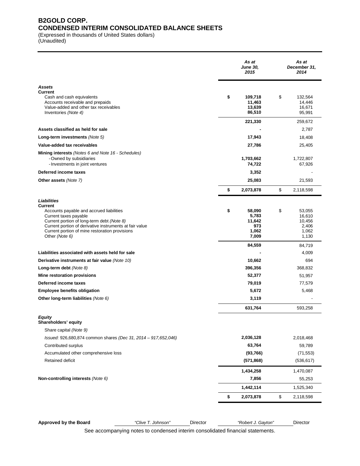### **B2GOLD CORP. CONDENSED INTERIM CONSOLIDATED BALANCE SHEETS**

(Expressed in thousands of United States dollars)

(Unaudited)

|                                                                                                                                                                                                                                                                      | As at<br><b>June 30,</b><br>2015                | As at<br>December 31,<br>2014                      |
|----------------------------------------------------------------------------------------------------------------------------------------------------------------------------------------------------------------------------------------------------------------------|-------------------------------------------------|----------------------------------------------------|
| <b>Assets</b><br><b>Current</b><br>Cash and cash equivalents<br>Accounts receivable and prepaids<br>Value-added and other tax receivables<br>Inventories (Note 4)                                                                                                    | \$<br>109,718<br>11,463<br>13,639<br>86,510     | \$<br>132,564<br>14,446<br>16,671<br>95,991        |
|                                                                                                                                                                                                                                                                      | 221,330                                         | 259,672                                            |
| Assets classified as held for sale                                                                                                                                                                                                                                   |                                                 | 2,787                                              |
| Long-term investments (Note 5)                                                                                                                                                                                                                                       | 17,943                                          | 18,408                                             |
| Value-added tax receivables                                                                                                                                                                                                                                          | 27,786                                          | 25,405                                             |
| <b>Mining interests</b> (Notes 6 and Note 16 - Schedules)<br>- Owned by subsidiaries<br>- Investments in joint ventures                                                                                                                                              | 1,703,662<br>74,722                             | 1,722,807<br>67,926                                |
| Deferred income taxes                                                                                                                                                                                                                                                | 3,352                                           |                                                    |
| <b>Other assets (Note 7)</b>                                                                                                                                                                                                                                         | 25,083                                          | 21,593                                             |
|                                                                                                                                                                                                                                                                      | \$<br>2,073,878                                 | \$<br>2,118,598                                    |
| <b>Liabilities</b><br><b>Current</b><br>Accounts payable and accrued liabilities<br>Current taxes payable<br>Current portion of long-term debt (Note 8)<br>Current portion of derivative instruments at fair value<br>Current portion of mine restoration provisions | \$<br>58,090<br>5,783<br>11,642<br>973<br>1,062 | \$<br>53,055<br>16,610<br>10,456<br>2,406<br>1,062 |
| Other (Note 6)                                                                                                                                                                                                                                                       | 7,009<br>84,559                                 | 1,130<br>84,719                                    |
| Liabilities associated with assets held for sale                                                                                                                                                                                                                     |                                                 | 4,009                                              |
| Derivative instruments at fair value (Note 10)                                                                                                                                                                                                                       | 10,662                                          | 694                                                |
| Long-term debt $(Note 8)$                                                                                                                                                                                                                                            | 396,356                                         | 368,832                                            |
| Mine restoration provisions                                                                                                                                                                                                                                          | 52,377                                          | 51,957                                             |
| Deferred income taxes                                                                                                                                                                                                                                                | 79,019                                          | 77,579                                             |
| <b>Employee benefits obligation</b>                                                                                                                                                                                                                                  | 5,672                                           | 5,468                                              |
| Other long-term liabilities (Note 6)                                                                                                                                                                                                                                 | 3,119                                           |                                                    |
|                                                                                                                                                                                                                                                                      | 631,764                                         | 593,258                                            |
| Equity<br>Shareholders' equity<br>Share capital (Note 9)                                                                                                                                                                                                             |                                                 |                                                    |
| Issued: 926,680,874 common shares (Dec 31, 2014 - 917,652,046)                                                                                                                                                                                                       | 2,036,128                                       | 2,018,468                                          |
| Contributed surplus                                                                                                                                                                                                                                                  | 63,764                                          | 59,789                                             |
| Accumulated other comprehensive loss                                                                                                                                                                                                                                 | (93, 766)                                       | (71, 553)                                          |
| Retained deficit                                                                                                                                                                                                                                                     | (571, 868)                                      | (536, 617)                                         |
|                                                                                                                                                                                                                                                                      | 1,434,258                                       | 1,470,087                                          |
| Non-controlling interests (Note 6)                                                                                                                                                                                                                                   | 7,856                                           | 55,253                                             |
|                                                                                                                                                                                                                                                                      | 1,442,114                                       | 1,525,340                                          |
|                                                                                                                                                                                                                                                                      | \$<br>2,073,878                                 | \$<br>2,118,598                                    |
|                                                                                                                                                                                                                                                                      |                                                 |                                                    |

**Approved by the Board** *"Clive T. Johnson"* Director *"Robert J. Gayton"* Director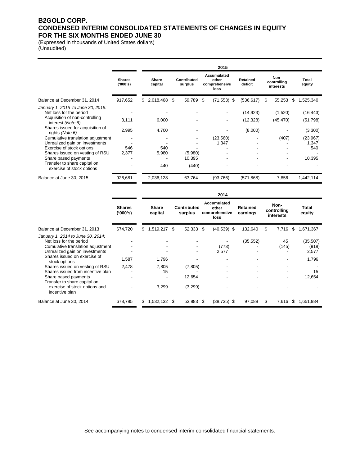### **B2GOLD CORP. CONDENSED INTERIM CONSOLIDATED STATEMENTS OF CHANGES IN EQUITY FOR THE SIX MONTHS ENDED JUNE 30**

(Expressed in thousands of United States dollars) (Unaudited)

|                                                                                                |                          | 2015 |                  |  |                        |      |                                                      |                     |   |                                  |                 |
|------------------------------------------------------------------------------------------------|--------------------------|------|------------------|--|------------------------|------|------------------------------------------------------|---------------------|---|----------------------------------|-----------------|
|                                                                                                | <b>Shares</b><br>(000's) |      | Share<br>capital |  | Contributed<br>surplus |      | <b>Accumulated</b><br>other<br>comprehensive<br>loss | Retained<br>deficit |   | Non-<br>controlling<br>interests | Total<br>equity |
| Balance at December 31, 2014                                                                   | 917,652                  | \$.  | 2,018,468 \$     |  | 59,789                 | - \$ | $(71,553)$ \$                                        | (536, 617)          | S | 55,253<br>S                      | 1,525,340       |
| January 1, 2015 to June 30, 2015:<br>Net loss for the period<br>Acquisition of non-controlling |                          |      |                  |  |                        |      |                                                      | (14, 923)           |   | (1,520)                          | (16, 443)       |
| interest (Note 6)                                                                              | 3,111                    |      | 6,000            |  |                        |      |                                                      | (12, 328)           |   | (45, 470)                        | (51, 798)       |
| Shares issued for acquisition of<br>rights (Note 6)                                            | 2,995                    |      | 4,700            |  |                        |      |                                                      | (8,000)             |   |                                  | (3,300)         |
| Cumulative translation adjustment                                                              |                          |      |                  |  |                        |      | (23, 560)                                            |                     |   | (407)                            | (23, 967)       |
| Unrealized gain on investments                                                                 |                          |      |                  |  |                        |      | 1,347                                                |                     |   |                                  | 1.347           |
| Exercise of stock options                                                                      | 546                      |      | 540              |  |                        |      |                                                      |                     |   |                                  | 540             |
| Shares issued on vesting of RSU                                                                | 2.377                    |      | 5,980            |  | (5,980)                |      |                                                      |                     |   |                                  |                 |
| Share based payments                                                                           |                          |      |                  |  | 10,395                 |      |                                                      |                     |   |                                  | 10,395          |
| Transfer to share capital on<br>exercise of stock options                                      |                          |      | 440              |  | (440)                  |      |                                                      |                     |   |                                  |                 |
| Balance at June 30, 2015                                                                       | 926,681                  |      | 2,036,128        |  | 63,764                 |      | (93,766)                                             | (571, 868)          |   | 7,856                            | 1,442,114       |

|                                                                                                                                                                                      |                           | 2014 |                         |     |                               |      |                                               |                      |    |                                  |   |                                      |
|--------------------------------------------------------------------------------------------------------------------------------------------------------------------------------------|---------------------------|------|-------------------------|-----|-------------------------------|------|-----------------------------------------------|----------------------|----|----------------------------------|---|--------------------------------------|
|                                                                                                                                                                                      | <b>Shares</b><br>('000's) |      | <b>Share</b><br>capital |     | <b>Contributed</b><br>surplus |      | Accumulated<br>other<br>comprehensive<br>loss | Retained<br>earnings |    | Non-<br>controlling<br>interests |   | Total<br>equity                      |
| Balance at December 31, 2013                                                                                                                                                         | 674,720                   | \$   | 1,519,217               | -\$ | 52,333                        | -\$  | $(40,539)$ \$                                 | 132,640              | \$ | 7,716                            | S | 1,671,367                            |
| January 1, 2014 to June 30, 2014:<br>Net loss for the period<br>Cumulative translation adjustment<br>Unrealized gain on investments<br>Shares issued on exercise of<br>stock options | 1,587                     |      | 1,796                   |     |                               |      | (773)<br>2,577                                | (35, 552)            |    | 45<br>(145)                      |   | (35, 507)<br>(918)<br>2,577<br>1,796 |
| Shares issued on vesting of RSU                                                                                                                                                      | 2,478                     |      | 7,805                   |     | (7,805)                       |      |                                               |                      |    |                                  |   |                                      |
| Shares issued from incentive plan<br>Share based payments<br>Transfer to share capital on                                                                                            |                           |      | 15                      |     | 12,654                        |      |                                               |                      |    |                                  |   | 15<br>12,654                         |
| exercise of stock options and<br>incentive plan                                                                                                                                      |                           |      | 3,299                   |     | (3,299)                       |      |                                               |                      |    |                                  |   |                                      |
| Balance at June 30, 2014                                                                                                                                                             | 678,785                   |      | 1,532,132 \$            |     | 53,883                        | - \$ | (38,735) \$                                   | 97,088               | \$ | 7,616                            | S | 1,651,984                            |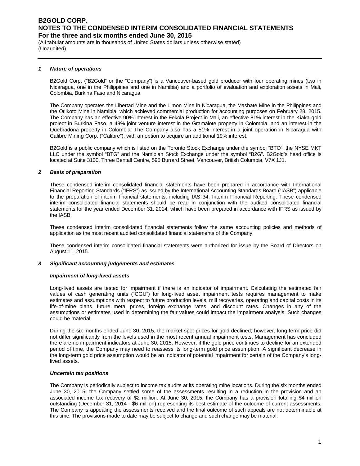(All tabular amounts are in thousands of United States dollars unless otherwise stated) (Unaudited)

#### *1 Nature of operations*

B2Gold Corp. ("B2Gold" or the "Company") is a Vancouver-based gold producer with four operating mines (two in Nicaragua, one in the Philippines and one in Namibia) and a portfolio of evaluation and exploration assets in Mali, Colombia, Burkina Faso and Nicaragua.

The Company operates the Libertad Mine and the Limon Mine in Nicaragua, the Masbate Mine in the Philippines and the Otjikoto Mine in Namibia, which achieved commercial production for accounting purposes on February 28, 2015. The Company has an effective 90% interest in the Fekola Project in Mali, an effective 81% interest in the Kiaka gold project in Burkina Faso, a 49% joint venture interest in the Gramalote property in Colombia, and an interest in the Quebradona property in Colombia. The Company also has a 51% interest in a joint operation in Nicaragua with Calibre Mining Corp. ("Calibre"), with an option to acquire an additional 19% interest.

B2Gold is a public company which is listed on the Toronto Stock Exchange under the symbol "BTO", the NYSE MKT LLC under the symbol "BTG" and the Namibian Stock Exchange under the symbol "B2G". B2Gold's head office is located at Suite 3100, Three Bentall Centre, 595 Burrard Street, Vancouver, British Columbia, V7X 1J1.

#### *2 Basis of preparation*

These condensed interim consolidated financial statements have been prepared in accordance with International Financial Reporting Standards ("IFRS") as issued by the International Accounting Standards Board ("IASB") applicable to the preparation of interim financial statements, including IAS 34, Interim Financial Reporting. These condensed interim consolidated financial statements should be read in conjunction with the audited consolidated financial statements for the year ended December 31, 2014, which have been prepared in accordance with IFRS as issued by the IASB.

These condensed interim consolidated financial statements follow the same accounting policies and methods of application as the most recent audited consolidated financial statements of the Company.

These condensed interim consolidated financial statements were authorized for issue by the Board of Directors on August 11, 2015.

#### *3 Significant accounting judgements and estimates*

#### *Impairment of long-lived assets*

Long-lived assets are tested for impairment if there is an indicator of impairment. Calculating the estimated fair values of cash generating units ("CGU") for long-lived asset impairment tests requires management to make estimates and assumptions with respect to future production levels, mill recoveries, operating and capital costs in its life-of-mine plans, future metal prices, foreign exchange rates, and discount rates. Changes in any of the assumptions or estimates used in determining the fair values could impact the impairment analysis. Such changes could be material.

During the six months ended June 30, 2015, the market spot prices for gold declined; however, long term price did not differ significantly from the levels used in the most recent annual impairment tests. Management has concluded there are no impairment indicators at June 30, 2015. However, if the gold price continues to decline for an extended period of time, the Company may need to reassess its long-term gold price assumption. A significant decrease in the long-term gold price assumption would be an indicator of potential impairment for certain of the Company's longlived assets.

#### *Uncertain tax positions*

The Company is periodically subject to income tax audits at its operating mine locations. During the six months ended June 30, 2015, the Company settled some of the assessments resulting in a reduction in the provision and an associated income tax recovery of \$2 million. At June 30, 2015, the Company has a provision totalling \$4 million outstanding (December 31, 2014 - \$6 million) representing its best estimate of the outcome of current assessments. The Company is appealing the assessments received and the final outcome of such appeals are not determinable at this time. The provisions made to date may be subject to change and such change may be material.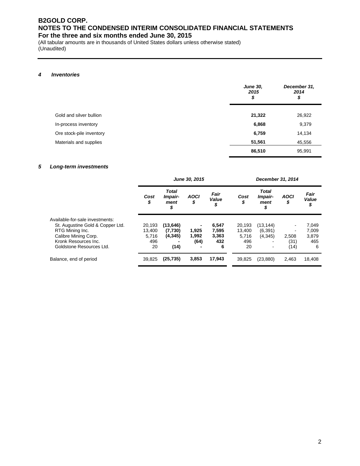(All tabular amounts are in thousands of United States dollars unless otherwise stated) (Unaudited)

#### *4 Inventories*

|                          | <b>June 30,</b><br>2015<br>\$ | December 31,<br>2014<br>\$ |
|--------------------------|-------------------------------|----------------------------|
| Gold and silver bullion  | 21,322                        | 26,922                     |
| In-process inventory     | 6,868                         | 9,379                      |
| Ore stock-pile inventory | 6,759                         | 14,134                     |
| Materials and supplies   | 51,561                        | 45,556                     |
|                          | 86,510                        | 95,991                     |

#### *5 Long-term investments*

|                                  |            |                                | June 30, 2015     |                     | December 31, 2014 |                                       |                   |                     |  |
|----------------------------------|------------|--------------------------------|-------------------|---------------------|-------------------|---------------------------------------|-------------------|---------------------|--|
|                                  | Cost<br>\$ | Total<br>Impair-<br>ment<br>\$ | <b>AOCI</b><br>\$ | Fair<br>Value<br>\$ | Cost<br>\$        | <b>Total</b><br>Impair-<br>ment<br>\$ | <b>AOCI</b><br>\$ | Fair<br>Value<br>\$ |  |
| Available-for-sale investments:  |            |                                |                   |                     |                   |                                       |                   |                     |  |
| St. Augustine Gold & Copper Ltd. | 20.193     | (13, 646)                      |                   | 6,547               | 20,193            | (13,144)                              | ۰                 | 7,049               |  |
| RTG Mining Inc.                  | 13.400     | (7,730)                        | 1,925             | 7,595               | 13,400            | (6, 391)                              |                   | 7,009               |  |
| Calibre Mining Corp.             | 5.716      | (4, 345)                       | 1,992             | 3,363               | 5,716             | (4, 345)                              | 2,508             | 3,879               |  |
| Kronk Resources Inc.             | 496        |                                | (64)              | 432                 | 496               |                                       | (31)              | 465                 |  |
| Goldstone Resources Ltd.         | 20         | (14)                           |                   | 6                   | 20                | $\overline{\phantom{a}}$              | (14)              | 6                   |  |
| Balance, end of period           | 39,825     | (25, 735)                      | 3,853             | 17,943              | 39,825            | (23, 880)                             | 2,463             | 18,408              |  |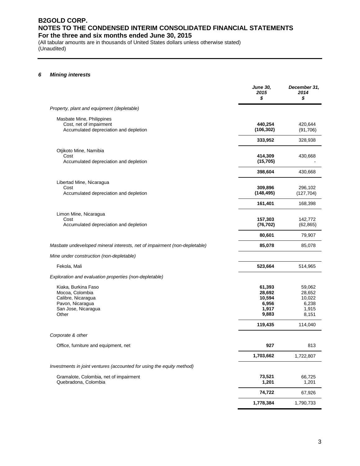(All tabular amounts are in thousands of United States dollars unless otherwise stated) (Unaudited)

#### *6 Mining interests*

|                                                                                                                  | <b>June 30,</b><br>2015<br>\$                         | December 31,<br>2014<br>\$                            |
|------------------------------------------------------------------------------------------------------------------|-------------------------------------------------------|-------------------------------------------------------|
| Property, plant and equipment (depletable)                                                                       |                                                       |                                                       |
| Masbate Mine, Philippines<br>Cost, net of impairment<br>Accumulated depreciation and depletion                   | 440,254<br>(106, 302)                                 | 420,644<br>(91, 706)                                  |
|                                                                                                                  | 333,952                                               | 328,938                                               |
| Otjikoto Mine, Namibia<br>Cost<br>Accumulated depreciation and depletion                                         | 414,309<br>(15, 705)                                  | 430,668                                               |
|                                                                                                                  | 398,604                                               | 430,668                                               |
| Libertad Mine, Nicaragua<br>Cost<br>Accumulated depreciation and depletion                                       | 309,896<br>(148, 495)                                 | 296,102<br>(127, 704)                                 |
|                                                                                                                  | 161,401                                               | 168,398                                               |
| Limon Mine, Nicaragua<br>Cost<br>Accumulated depreciation and depletion                                          | 157,303<br>(76, 702)                                  | 142,772<br>(62, 865)                                  |
|                                                                                                                  | 80,601                                                | 79,907                                                |
| Masbate undeveloped mineral interests, net of impairment (non-depletable)                                        | 85,078                                                | 85,078                                                |
| Mine under construction (non-depletable)                                                                         |                                                       |                                                       |
| Fekola, Mali                                                                                                     | 523,664                                               | 514,965                                               |
| Exploration and evaluation properties (non-depletable)                                                           |                                                       |                                                       |
| Kiaka, Burkina Faso<br>Mocoa, Colombia<br>Calibre, Nicaragua<br>Pavon, Nicaragua<br>San Jose, Nicaragua<br>Other | 61,393<br>28,692<br>10,594<br>6,956<br>1,917<br>9,883 | 59,062<br>28,652<br>10,022<br>6,238<br>1,915<br>8,151 |
|                                                                                                                  | 119,435                                               | 114,040                                               |
| Corporate & other                                                                                                | 927                                                   | 813                                                   |
| Office, furniture and equipment, net                                                                             | 1,703,662                                             | 1,722,807                                             |
| Investments in joint ventures (accounted for using the equity method)                                            |                                                       |                                                       |
| Gramalote, Colombia, net of impairment<br>Quebradona, Colombia                                                   | 73,521<br>1,201                                       | 66,725<br>1,201                                       |
|                                                                                                                  | 74,722                                                | 67,926                                                |
|                                                                                                                  | 1,778,384                                             | 1,790,733                                             |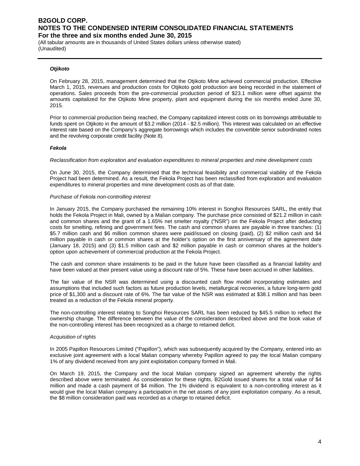(All tabular amounts are in thousands of United States dollars unless otherwise stated) (Unaudited)

#### *Otjikoto*

On February 28, 2015, management determined that the Otjikoto Mine achieved commercial production. Effective March 1, 2015, revenues and production costs for Otjikoto gold production are being recorded in the statement of operations. Sales proceeds from the pre-commercial production period of \$23.1 million were offset against the amounts capitalized for the Otjikoto Mine property, plant and equipment during the six months ended June 30, 2015.

Prior to commercial production being reached, the Company capitalized interest costs on its borrowings attributable to funds spent on Otjikoto in the amount of \$3.2 million (2014 - \$2.5 million). This interest was calculated on an effective interest rate based on the Company's aggregate borrowings which includes the convertible senior subordinated notes and the revolving corporate credit facility (Note 8).

#### *Fekola*

#### *Reclassification from exploration and evaluation expenditures to mineral properties and mine development costs*

On June 30, 2015, the Company determined that the technical feasibility and commercial viability of the Fekola Project had been determined. As a result, the Fekola Project has been reclassified from exploration and evaluation expenditures to mineral properties and mine development costs as of that date.

#### *Purchase of Fekola non-controlling interest*

In January 2015, the Company purchased the remaining 10% interest in Songhoi Resources SARL, the entity that holds the Fekola Project in Mali, owned by a Malian company. The purchase price consisted of \$21.2 million in cash and common shares and the grant of a 1.65% net smelter royalty ("NSR") on the Fekola Project after deducting costs for smelting, refining and government fees. The cash and common shares are payable in three tranches: (1) \$5.7 million cash and \$6 million common shares were paid/issued on closing (paid), (2) \$2 million cash and \$4 million payable in cash or common shares at the holder's option on the first anniversary of the agreement date (January 18, 2015) and (3) \$1.5 million cash and \$2 million payable in cash or common shares at the holder's option upon achievement of commercial production at the Fekola Project.

The cash and common share instalments to be paid in the future have been classified as a financial liability and have been valued at their present value using a discount rate of 5%. These have been accrued in other liabilities.

The fair value of the NSR was determined using a discounted cash flow model incorporating estimates and assumptions that included such factors as future production levels, metallurgical recoveries, a future long-term gold price of \$1,300 and a discount rate of 6%. The fair value of the NSR was estimated at \$38.1 million and has been treated as a reduction of the Fekola mineral property.

The non-controlling interest relating to Songhoi Resources SARL has been reduced by \$45.5 million to reflect the ownership change. The difference between the value of the consideration described above and the book value of the non-controlling interest has been recognized as a charge to retained deficit.

#### *Acquisition of rights*

In 2005 Papillon Resources Limited ("Papillon"), which was subsequently acquired by the Company, entered into an exclusive joint agreement with a local Malian company whereby Papillon agreed to pay the local Malian company 1% of any dividend received from any joint exploitation company formed in Mali.

On March 19, 2015, the Company and the local Malian company signed an agreement whereby the rights described above were terminated. As consideration for these rights, B2Gold issued shares for a total value of \$4 million and made a cash payment of \$4 million. The 1% dividend is equivalent to a non-controlling interest as it would give the local Malian company a participation in the net assets of any joint exploitation company. As a result, the \$8 million consideration paid was recorded as a charge to retained deficit.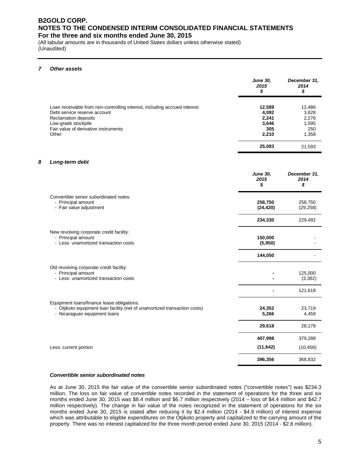(All tabular amounts are in thousands of United States dollars unless otherwise stated) (Unaudited)

#### *7 Other assets*

|                                                                                                                                                                                                           | <b>June 30,</b><br>2015<br>\$                     | December 31,<br>2014<br>\$                        |
|-----------------------------------------------------------------------------------------------------------------------------------------------------------------------------------------------------------|---------------------------------------------------|---------------------------------------------------|
| Loan receivable from non-controlling interest, including accrued interest<br>Debt service reserve account<br>Reclamation deposits<br>Low-grade stockpile<br>Fair value of derivative instruments<br>Other | 12,589<br>4,092<br>2,241<br>3,646<br>305<br>2,210 | 12,486<br>3,628<br>2,276<br>1,595<br>250<br>1,358 |
|                                                                                                                                                                                                           | 25,083                                            | 21.593                                            |

#### *8 Long-term debt*

|                                                                                                                                                         | <b>June 30,</b><br>2015<br>\$ | December 31,<br>2014<br>\$ |
|---------------------------------------------------------------------------------------------------------------------------------------------------------|-------------------------------|----------------------------|
| Convertible senior subordinated notes:<br>- Principal amount<br>- Fair value adjustment                                                                 | 258,750<br>(24, 420)          | 258,750<br>(29, 258)       |
|                                                                                                                                                         | 234,330                       | 229,492                    |
| New revolving corporate credit facility:<br>- Principal amount<br>- Less: unamortized transaction costs                                                 | 150,000<br>(5,950)            |                            |
|                                                                                                                                                         | 144,050                       |                            |
| Old revolving corporate credit facility:<br>- Principal amount<br>- Less: unamortized transaction costs                                                 |                               | 125,000<br>(3, 382)        |
|                                                                                                                                                         |                               | 121,618                    |
| Equipment loans/finance lease obligations:<br>- Otjikoto equipment loan facility (net of unamortized transaction costs)<br>- Nicaraguan equipment loans | 24,352<br>5,266               | 23,719<br>4,459            |
|                                                                                                                                                         | 29,618                        | 28,178                     |
|                                                                                                                                                         | 407,998                       | 379,288                    |
| Less: current portion                                                                                                                                   | (11, 642)                     | (10, 456)                  |
|                                                                                                                                                         | 396,356                       | 368,832                    |

#### *Convertible senior subordinated notes*

As at June 30, 2015 the fair value of the convertible senior subordinated notes ("convertible notes") was \$234.3 million. The loss on fair value of convertible notes recorded in the statement of operations for the three and six months ended June 30, 2015 was \$8.4 million and \$6.7 million respectively (2014 – loss of \$4.4 million and \$42.7 million respectively). The change in fair value of the notes recognized in the statement of operations for the six months ended June 30, 2015 is stated after reducing it by \$2.4 million (2014 - \$4.9 million) of interest expense which was attributable to eligible expenditures on the Otjikoto property and capitalized to the carrying amount of the property. There was no interest capitalized for the three month period ended June 30, 2015 (2014 - \$2.8 million).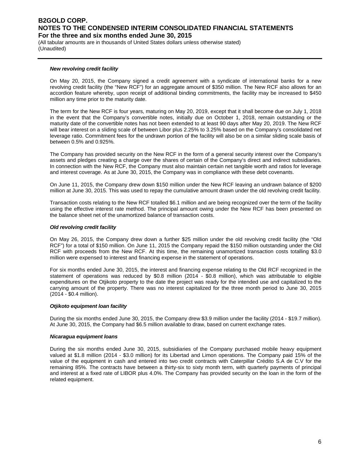(All tabular amounts are in thousands of United States dollars unless otherwise stated) (Unaudited)

#### *New revolving credit facility*

On May 20, 2015, the Company signed a credit agreement with a syndicate of international banks for a new revolving credit facility (the "New RCF") for an aggregate amount of \$350 million. The New RCF also allows for an accordion feature whereby, upon receipt of additional binding commitments, the facility may be increased to \$450 million any time prior to the maturity date.

The term for the New RCF is four years, maturing on May 20, 2019, except that it shall become due on July 1, 2018 in the event that the Company's convertible notes, initially due on October 1, 2018, remain outstanding or the maturity date of the convertible notes has not been extended to at least 90 days after May 20, 2019. The New RCF will bear interest on a sliding scale of between Libor plus 2.25% to 3.25% based on the Company's consolidated net leverage ratio. Commitment fees for the undrawn portion of the facility will also be on a similar sliding scale basis of between 0.5% and 0.925%.

The Company has provided security on the New RCF in the form of a general security interest over the Company's assets and pledges creating a charge over the shares of certain of the Company's direct and indirect subsidiaries. In connection with the New RCF, the Company must also maintain certain net tangible worth and ratios for leverage and interest coverage. As at June 30, 2015, the Company was in compliance with these debt covenants.

On June 11, 2015, the Company drew down \$150 million under the New RCF leaving an undrawn balance of \$200 million at June 30, 2015. This was used to repay the cumulative amount drawn under the old revolving credit facility.

Transaction costs relating to the New RCF totalled \$6.1 million and are being recognized over the term of the facility using the effective interest rate method. The principal amount owing under the New RCF has been presented on the balance sheet net of the unamortized balance of transaction costs.

#### *Old revolving credit facility*

On May 26, 2015, the Company drew down a further \$25 million under the old revolving credit facility (the "Old RCF") for a total of \$150 million. On June 11, 2015 the Company repaid the \$150 million outstanding under the Old RCF with proceeds from the New RCF. At this time, the remaining unamortized transaction costs totalling \$3.0 million were expensed to interest and financing expense in the statement of operations.

For six months ended June 30, 2015, the interest and financing expense relating to the Old RCF recognized in the statement of operations was reduced by \$0.8 million (2014 - \$0.8 million), which was attributable to eligible expenditures on the Otjikoto property to the date the project was ready for the intended use and capitalized to the carrying amount of the property. There was no interest capitalized for the three month period to June 30, 2015 (2014 - \$0.4 million).

#### *Otjikoto equipment loan facility*

During the six months ended June 30, 2015, the Company drew \$3.9 million under the facility (2014 - \$19.7 million). At June 30, 2015, the Company had \$6.5 million available to draw, based on current exchange rates.

#### *Nicaragua equipment loans*

During the six months ended June 30, 2015, subsidiaries of the Company purchased mobile heavy equipment valued at \$1.8 million (2014 - \$3.0 million) for its Libertad and Limon operations. The Company paid 15% of the value of the equipment in cash and entered into two credit contracts with Caterpillar Crédito S.A de C.V for the remaining 85%. The contracts have between a thirty-six to sixty month term, with quarterly payments of principal and interest at a fixed rate of LIBOR plus 4.0%. The Company has provided security on the loan in the form of the related equipment.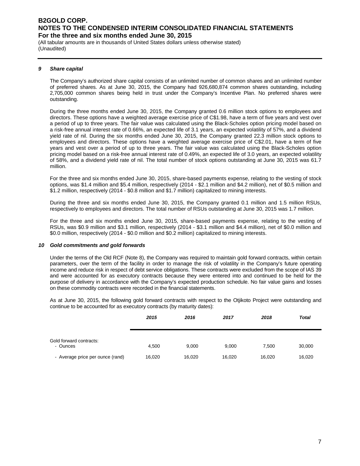(All tabular amounts are in thousands of United States dollars unless otherwise stated) (Unaudited)

#### *9 Share capital*

The Company's authorized share capital consists of an unlimited number of common shares and an unlimited number of preferred shares. As at June 30, 2015, the Company had 926,680,874 common shares outstanding, including 2,705,000 common shares being held in trust under the Company's Incentive Plan. No preferred shares were outstanding.

During the three months ended June 30, 2015, the Company granted 0.6 million stock options to employees and directors. These options have a weighted average exercise price of C\$1.98, have a term of five years and vest over a period of up to three years. The fair value was calculated using the Black-Scholes option pricing model based on a risk-free annual interest rate of 0.66%, an expected life of 3.1 years, an expected volatility of 57%, and a dividend yield rate of nil. During the six months ended June 30, 2015, the Company granted 22.3 million stock options to employees and directors. These options have a weighted average exercise price of C\$2.01, have a term of five years and vest over a period of up to three years. The fair value was calculated using the Black-Scholes option pricing model based on a risk-free annual interest rate of 0.49%, an expected life of 3.0 years, an expected volatility of 58%, and a dividend yield rate of nil. The total number of stock options outstanding at June 30, 2015 was 61.7 million.

For the three and six months ended June 30, 2015, share-based payments expense, relating to the vesting of stock options, was \$1.4 million and \$5.4 million, respectively (2014 - \$2.1 million and \$4.2 million), net of \$0.5 million and \$1.2 million, respectively (2014 - \$0.8 million and \$1.7 million) capitalized to mining interests.

During the three and six months ended June 30, 2015, the Company granted 0.1 million and 1.5 million RSUs, respectively to employees and directors. The total number of RSUs outstanding at June 30, 2015 was 1.7 million.

For the three and six months ended June 30, 2015, share-based payments expense, relating to the vesting of RSUs, was \$0.9 million and \$3.1 million, respectively (2014 - \$3.1 million and \$4.4 million), net of \$0.0 million and \$0.0 million, respectively (2014 - \$0.0 million and \$0.2 million) capitalized to mining interests.

#### *10 Gold commitments and gold forwards*

Under the terms of the Old RCF (Note 8), the Company was required to maintain gold forward contracts, within certain parameters, over the term of the facility in order to manage the risk of volatility in the Company's future operating income and reduce risk in respect of debt service obligations. These contracts were excluded from the scope of IAS 39 and were accounted for as executory contracts because they were entered into and continued to be held for the purpose of delivery in accordance with the Company's expected production schedule. No fair value gains and losses on these commodity contracts were recorded in the financial statements.

As at June 30, 2015, the following gold forward contracts with respect to the Otjikoto Project were outstanding and continue to be accounted for as executory contracts (by maturity dates):

|                                     | 2015   | 2016   | 2017   | 2018   | <b>Total</b> |
|-------------------------------------|--------|--------|--------|--------|--------------|
| Gold forward contracts:<br>- Ounces | 4,500  | 9,000  | 9,000  | 7,500  | 30,000       |
| - Average price per ounce (rand)    | 16,020 | 16,020 | 16,020 | 16,020 | 16,020       |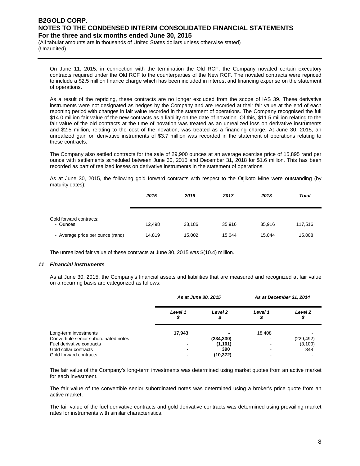(All tabular amounts are in thousands of United States dollars unless otherwise stated) (Unaudited)

On June 11, 2015, in connection with the termination the Old RCF, the Company novated certain executory contracts required under the Old RCF to the counterparties of the New RCF. The novated contracts were repriced to include a \$2.5 million finance charge which has been included in interest and financing expense on the statement of operations.

As a result of the repricing, these contracts are no longer excluded from the scope of IAS 39. These derivative instruments were not designated as hedges by the Company and are recorded at their fair value at the end of each reporting period with changes in fair value recorded in the statement of operations. The Company recognised the full \$14.0 million fair value of the new contracts as a liability on the date of novation. Of this, \$11.5 million relating to the fair value of the old contracts at the time of novation was treated as an unrealized loss on derivative instruments and \$2.5 million, relating to the cost of the novation, was treated as a financing charge. At June 30, 2015, an unrealized gain on derivative instruments of \$3.7 million was recorded in the statement of operations relating to these contracts.

The Company also settled contracts for the sale of 29,900 ounces at an average exercise price of 15,895 rand per ounce with settlements scheduled between June 30, 2015 and December 31, 2018 for \$1.6 million. This has been recorded as part of realized losses on derivative instruments in the statement of operations.

As at June 30, 2015, the following gold forward contracts with respect to the Otjikoto Mine were outstanding (by maturity dates):

|                                     | 2015   | 2016   | 2017   | 2018   | <b>Total</b> |
|-------------------------------------|--------|--------|--------|--------|--------------|
| Gold forward contracts:<br>- Ounces | 12,498 | 33,186 | 35,916 | 35.916 | 117,516      |
| - Average price per ounce (rand)    | 14,819 | 15,002 | 15,044 | 15.044 | 15,008       |

The unrealized fair value of these contracts at June 30, 2015 was \$(10.4) million.

#### *11 Financial instruments*

As at June 30, 2015, the Company's financial assets and liabilities that are measured and recognized at fair value on a recurring basis are categorized as follows:

|                                                                                                                                                | As at June 30, 2015 |                                            | As at December 31, 2014 |                               |  |
|------------------------------------------------------------------------------------------------------------------------------------------------|---------------------|--------------------------------------------|-------------------------|-------------------------------|--|
|                                                                                                                                                | Level 1<br>Φ        | Level <sub>2</sub>                         | Level 1                 | Level <sub>2</sub>            |  |
| Long-term investments<br>Convertible senior subordinated notes<br>Fuel derivative contracts<br>Gold collar contracts<br>Gold forward contracts | 17,943              | (234, 330)<br>(1, 101)<br>390<br>(10, 372) | 18,408                  | (229, 492)<br>(3, 100)<br>348 |  |

The fair value of the Company's long-term investments was determined using market quotes from an active market for each investment.

The fair value of the convertible senior subordinated notes was determined using a broker's price quote from an active market.

The fair value of the fuel derivative contracts and gold derivative contracts was determined using prevailing market rates for instruments with similar characteristics.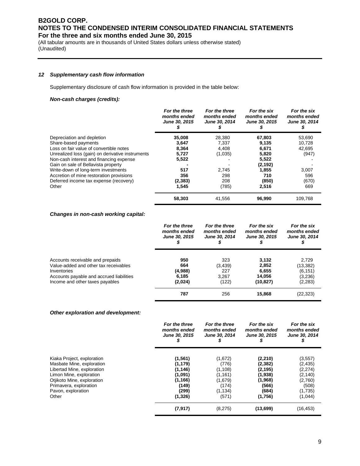(All tabular amounts are in thousands of United States dollars unless otherwise stated) (Unaudited)

#### *12 Supplementary cash flow information*

Supplementary disclosure of cash flow information is provided in the table below:

#### *Non-cash charges (credits):*

|                                                  | For the three<br>months ended<br>June 30, 2015 | For the three<br>months ended<br>June 30, 2014 | For the six<br>months ended<br>June 30, 2015 | For the six<br>months ended<br>June 30, 2014 |
|--------------------------------------------------|------------------------------------------------|------------------------------------------------|----------------------------------------------|----------------------------------------------|
| Depreciation and depletion                       | 35,008                                         | 28,380                                         | 67,803                                       | 53,690                                       |
| Share-based payments                             | 3,647                                          | 7.337                                          | 9,135                                        | 10,728                                       |
| Loss on fair value of convertible notes          | 8,364                                          | 4.408                                          | 6,671                                        | 42.695                                       |
| Unrealized loss (gain) on derivative instruments | 5,727                                          | (1,035)                                        | 5,820                                        | (947)                                        |
| Non-cash interest and financing expense          | 5,522                                          |                                                | 5,522                                        |                                              |
| Gain on sale of Bellavista property              |                                                |                                                | (2, 192)                                     |                                              |
| Write-down of long-term investments              | 517                                            | 2,745                                          | 1,855                                        | 3,007                                        |
| Accretion of mine restoration provisions         | 356                                            | 298                                            | 710                                          | 596                                          |
| Deferred income tax expense (recovery)           | (2, 383)                                       | 208                                            | (850)                                        | (670)                                        |
| Other                                            | 1.545                                          | (785)                                          | 2,516                                        | 669                                          |
|                                                  | 58,303                                         | 41,556                                         | 96,990                                       | 109,768                                      |

#### *Changes in non-cash working capital:*

|                                          | For the three | For the three        | For the six          | For the six          |
|------------------------------------------|---------------|----------------------|----------------------|----------------------|
|                                          | months ended  | months ended         | months ended         | months ended         |
|                                          | June 30, 2015 | <b>June 30, 2014</b> | <b>June 30, 2015</b> | <b>June 30, 2014</b> |
| Accounts receivable and prepaids         | 950           | 323                  | 3,132                | 2.729                |
| Value-added and other tax receivables    | 664           | (3, 439)             | 2,852                | (13, 382)            |
| Inventories                              | (4,988)       | 227                  | 6,655                | (6, 151)             |
| Accounts payable and accrued liabilities | 6,185         | 3.267                | 14,056               | (3,236)              |
| Income and other taxes payables          | (2,024)       | (122)                | (10, 827)            | (2,283)              |
|                                          | 787           | 256                  | 15,868               | (22,323)             |

#### *Other exploration and development:*

|                            | For the three<br>months ended<br>June 30, 2015 | For the three<br>months ended<br>June 30, 2014 | For the six<br>months ended<br>June 30, 2015 | For the six<br>months ended<br>June 30, 2014<br>⊅ |
|----------------------------|------------------------------------------------|------------------------------------------------|----------------------------------------------|---------------------------------------------------|
| Kiaka Project, exploration | (1, 561)                                       | (1,672)                                        | (2, 210)                                     | (3, 557)                                          |
| Masbate Mine, exploration  | (1, 179)                                       | (776)                                          | (2, 382)                                     | (2, 435)                                          |
| Libertad Mine, exploration | (1, 146)                                       | (1, 108)                                       | (2, 195)                                     | (2,274)                                           |
| Limon Mine, exploration    | (1,091)                                        | (1, 161)                                       | (1,938)                                      | (2, 140)                                          |
| Otjikoto Mine, exploration | (1, 166)                                       | (1,679)                                        | (1,968)                                      | (2,760)                                           |
| Primavera, exploration     | (149)                                          | (174)                                          | (566)                                        | (508)                                             |
| Pavon, exploration         | (299)                                          | (1, 134)                                       | (684)                                        | (1,735)                                           |
| Other                      | (1, 326)                                       | (571)                                          | (1,756)                                      | (1,044)                                           |
|                            | (7, 917)                                       | (8,275)                                        | (13,699)                                     | (16, 453)                                         |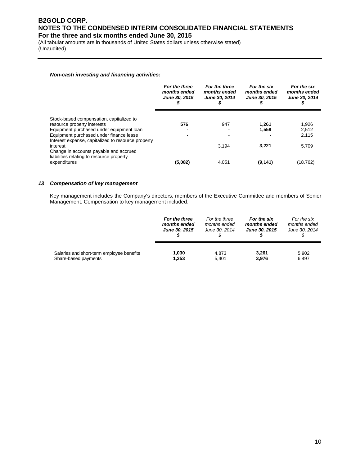(All tabular amounts are in thousands of United States dollars unless otherwise stated) (Unaudited)

#### *Non-cash investing and financing activities:*

|                                                                                                 | For the three<br>months ended<br>June 30, 2015 | For the three<br>months ended<br>June 30, 2014 | For the six<br>months ended<br>June 30, 2015 | For the six<br>months ended<br>June 30, 2014 |
|-------------------------------------------------------------------------------------------------|------------------------------------------------|------------------------------------------------|----------------------------------------------|----------------------------------------------|
| Stock-based compensation, capitalized to                                                        |                                                |                                                |                                              |                                              |
| resource property interests                                                                     | 576                                            | 947                                            | 1.261                                        | 1,926                                        |
| Equipment purchased under equipment loan                                                        |                                                |                                                | 1,559                                        | 2.512                                        |
| Equipment purchased under finance lease<br>Interest expense, capitalized to resource property   |                                                |                                                |                                              | 2.115                                        |
| interest<br>Change in accounts payable and accrued<br>liabilities relating to resource property |                                                | 3.194                                          | 3.221                                        | 5,709                                        |
| expenditures                                                                                    | (5.082)                                        | 4.051                                          | (9, 141)                                     | (18, 762)                                    |

#### *13 Compensation of key management*

Key management includes the Company's directors, members of the Executive Committee and members of Senior Management. Compensation to key management included:

|                                           | For the three        | For the three | For the six          | For the six   |  |
|-------------------------------------------|----------------------|---------------|----------------------|---------------|--|
|                                           | months ended         | months ended  | months ended         | months ended  |  |
|                                           | <b>June 30, 2015</b> | June 30, 2014 | <b>June 30, 2015</b> | June 30, 2014 |  |
| Salaries and short-term employee benefits | 1,030                | 4,873         | 3.261                | 5,902         |  |
| Share-based payments                      | 1,353                | 5.401         | 3,976                | 6,497         |  |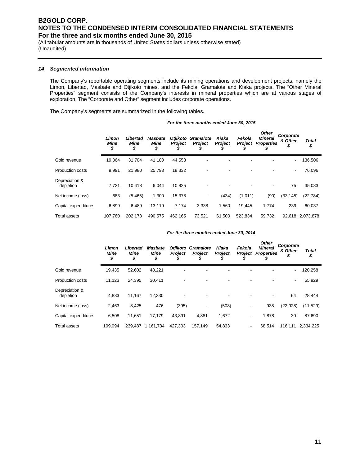(All tabular amounts are in thousands of United States dollars unless otherwise stated) (Unaudited)

#### *14 Segmented information*

The Company's reportable operating segments include its mining operations and development projects, namely the Limon, Libertad, Masbate and Otjikoto mines, and the Fekola, Gramalote and Kiaka projects. The "Other Mineral Properties" segment consists of the Company's interests in mineral properties which are at various stages of exploration. The "Corporate and Other" segment includes corporate operations.

The Company's segments are summarized in the following tables.

*For the three months ended June 30, 2015*

|                             | Limon<br><b>Mine</b><br>\$ | Libertad<br><b>Mine</b><br>\$ | <b>Masbate</b><br><b>Mine</b><br>\$ | Otjikoto<br><b>Project</b><br>\$ | Gramalote<br><b>Project</b> | Kiaka<br><b>Project</b> | Fekola<br><b>Project</b> | <b>Other</b><br><b>Mineral</b><br><b>Properties</b><br>\$ | Corporate<br>& Other<br>\$ | Total<br>\$ |
|-----------------------------|----------------------------|-------------------------------|-------------------------------------|----------------------------------|-----------------------------|-------------------------|--------------------------|-----------------------------------------------------------|----------------------------|-------------|
| Gold revenue                | 19.064                     | 31,704                        | 41.180                              | 44,558                           |                             |                         |                          |                                                           | $\overline{\phantom{a}}$   | 136,506     |
| Production costs            | 9.991                      | 21.980                        | 25.793                              | 18,332                           |                             |                         |                          |                                                           | $\overline{\phantom{a}}$   | 76,096      |
| Depreciation &<br>depletion | 7,721                      | 10.418                        | 6,044                               | 10,825                           |                             |                         |                          | $\overline{\phantom{a}}$                                  | 75                         | 35,083      |
| Net income (loss)           | 683                        | (5, 465)                      | 1,300                               | 15,378                           | ٠                           | (434)                   | (1,011)                  | (90)                                                      | (33, 145)                  | (22, 784)   |
| Capital expenditures        | 6,899                      | 6,489                         | 13,119                              | 7,174                            | 3,338                       | 1,560                   | 19,445                   | 1,774                                                     | 239                        | 60,037      |
| <b>Total assets</b>         | 107.760                    | 202.173                       | 490.575                             | 462.165                          | 73.521                      | 61.500                  | 523.834                  | 59.732                                                    | 92.618                     | 2.073.878   |

#### *For the three months ended June 30, 2014*

|                             | Limon<br>Mine<br>\$ | Libertad<br>Mine<br>\$ | <b>Masbate</b><br><b>Mine</b><br>\$ | Otjikoto<br><b>Project</b> | Gramalote<br><b>Project</b> | Kiaka<br><b>Project</b> | Fekola<br><b>Project</b> | <b>Other</b><br><b>Mineral</b><br><b>Properties</b> | Corporate<br>& Other<br>\$ | <b>Total</b><br>\$ |
|-----------------------------|---------------------|------------------------|-------------------------------------|----------------------------|-----------------------------|-------------------------|--------------------------|-----------------------------------------------------|----------------------------|--------------------|
| Gold revenue                | 19,435              | 52,602                 | 48,221                              | ٠                          |                             |                         |                          |                                                     |                            | 120,258            |
| <b>Production costs</b>     | 11,123              | 24,395                 | 30,411                              | ٠                          |                             |                         |                          |                                                     | $\overline{\phantom{a}}$   | 65,929             |
| Depreciation &<br>depletion | 4.883               | 11.167                 | 12.330                              |                            |                             |                         |                          |                                                     | 64                         | 28,444             |
| Net income (loss)           | 2,463               | 8,425                  | 476                                 | (395)                      | ٠                           | (508)                   | ٠                        | 938                                                 | (22, 928)                  | (11,529)           |
| Capital expenditures        | 6.508               | 11,651                 | 17,179                              | 43,891                     | 4,881                       | 1,672                   |                          | 1,878                                               | 30                         | 87,690             |
| <b>Total assets</b>         | 109.094             | 239.487                | 1.161.734                           | 427.303                    | 157.149                     | 54.833                  | ٠                        | 68.514                                              | 116,111                    | 2,334,225          |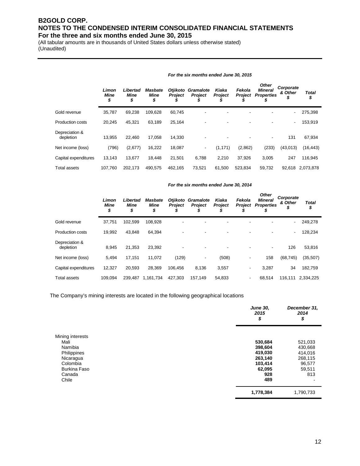(All tabular amounts are in thousands of United States dollars unless otherwise stated) (Unaudited)

|                             | Limon<br><b>Mine</b><br>\$ | Libertad<br><b>Mine</b><br>\$ | <b>Masbate</b><br><b>Mine</b><br>\$ | <b>Otjikoto</b><br><b>Project</b><br>J | Gramalote<br><b>Project</b> | Kiaka<br><b>Project</b><br>S | Fekola<br>Project | <b>Other</b><br><b>Mineral</b><br><b>Properties</b> | Corporate<br>& Other<br>P | <b>Total</b><br>\$ |
|-----------------------------|----------------------------|-------------------------------|-------------------------------------|----------------------------------------|-----------------------------|------------------------------|-------------------|-----------------------------------------------------|---------------------------|--------------------|
| Gold revenue                | 35,787                     | 69,238                        | 109,628                             | 60,745                                 |                             |                              |                   |                                                     | -                         | 275,398            |
| <b>Production costs</b>     | 20,245                     | 45,321                        | 63,189                              | 25,164                                 |                             | ٠                            |                   |                                                     | ٠                         | 153,919            |
| Depreciation &<br>depletion | 13.955                     | 22.460                        | 17,058                              | 14.330                                 |                             | $\overline{\phantom{0}}$     |                   |                                                     | 131                       | 67,934             |
| Net income (loss)           | (796)                      | (2,677)                       | 16,222                              | 18,087                                 | ٠                           | (1, 171)                     | (2,862)           | (233)                                               | (43,013)                  | (16, 443)          |
| Capital expenditures        | 13,143                     | 13.677                        | 18.448                              | 21,501                                 | 6,788                       | 2,210                        | 37,926            | 3,005                                               | 247                       | 116,945            |
| <b>Total assets</b>         | 107.760                    | 202.173                       | 490.575                             | 462.165                                | 73,521                      | 61,500                       | 523,834           | 59,732                                              | 92,618                    | 2,073,878          |

### *For the six months ended June 30, 2015*

#### *For the six months ended June 30, 2014*

|                             | Limon<br><b>Mine</b><br>\$ | Libertad<br><b>Mine</b><br>\$ | <b>Masbate</b><br>Mine<br>\$ | <b>Otjikoto</b><br><b>Project</b> | Gramalote<br><b>Project</b> | Kiaka<br><b>Project</b>  | Fekola<br><b>Project</b> | <b>Other</b><br><b>Mineral</b><br><b>Properties</b> | Corporate<br>& Other<br>J | <b>Total</b><br>\$ |
|-----------------------------|----------------------------|-------------------------------|------------------------------|-----------------------------------|-----------------------------|--------------------------|--------------------------|-----------------------------------------------------|---------------------------|--------------------|
| Gold revenue                | 37,751                     | 102,599                       | 108,928                      |                                   |                             |                          |                          |                                                     | Ξ.                        | 249,278            |
| <b>Production costs</b>     | 19.992                     | 43.848                        | 64.394                       |                                   |                             | $\overline{\phantom{a}}$ |                          |                                                     | ۰                         | 128,234            |
| Depreciation &<br>depletion | 8,945                      | 21,353                        | 23,392                       |                                   |                             | $\blacksquare$           |                          |                                                     | 126                       | 53,816             |
| Net income (loss)           | 5,494                      | 17,151                        | 11,072                       | (129)                             |                             | (508)                    | $\overline{\phantom{a}}$ | 158                                                 | (68, 745)                 | (35,507)           |
| Capital expenditures        | 12,327                     | 20.593                        | 28.369                       | 106.456                           | 8,136                       | 3,557                    | ٠                        | 3,287                                               | 34                        | 182,759            |
| <b>Total assets</b>         | 109.094                    | 239.487                       | 1,161,734                    | 427.303                           | 157.149                     | 54,833                   | $\overline{\phantom{a}}$ | 68,514                                              | 116.111                   | 2,334,225          |

The Company's mining interests are located in the following geographical locations

|                          | <b>June 30,</b><br>2015<br>\$ | December 31,<br>2014<br>\$ |
|--------------------------|-------------------------------|----------------------------|
| Mining interests<br>Mali | 530,684                       | 521,033                    |
| Namibia                  | 398,604                       | 430,668                    |
| Philippines              | 419,030                       | 414,016                    |
| Nicaragua                | 263,140                       | 268,115                    |
| Colombia                 | 103,414                       | 96,577                     |
| <b>Burkina Faso</b>      | 62,095                        | 59,511                     |
| Canada                   | 928                           | 813                        |
| Chile                    | 489                           |                            |
|                          | 1,778,384                     | 1,790,733                  |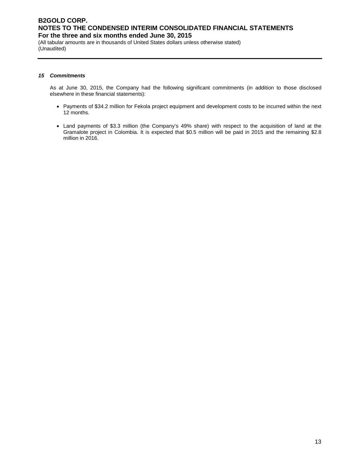(All tabular amounts are in thousands of United States dollars unless otherwise stated) (Unaudited)

#### *15 Commitments*

As at June 30, 2015, the Company had the following significant commitments (in addition to those disclosed elsewhere in these financial statements):

- Payments of \$34.2 million for Fekola project equipment and development costs to be incurred within the next 12 months.
- Land payments of \$3.3 million (the Company's 49% share) with respect to the acquisition of land at the Gramalote project in Colombia. It is expected that \$0.5 million will be paid in 2015 and the remaining \$2.8 million in 2016.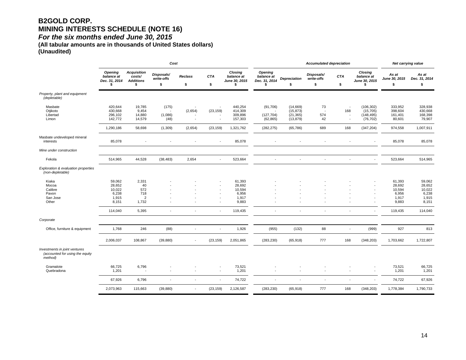## **B2GOLD CORP. MINING INTERESTS SCHEDULE (NOTE 16)**

*For the six months ended June 30, 2015* 

**(All tabular amounts are in thousands of United States dollars) (Unaudited)**

| <b>Acquisition</b><br>Closing<br><b>Opening</b>                                                                                                                                                                                                                                                                                                                                                                                                                                                                         |                                                    | Net carrying value                      |                                             |                                                       |
|-------------------------------------------------------------------------------------------------------------------------------------------------------------------------------------------------------------------------------------------------------------------------------------------------------------------------------------------------------------------------------------------------------------------------------------------------------------------------------------------------------------------------|----------------------------------------------------|-----------------------------------------|---------------------------------------------|-------------------------------------------------------|
| <b>Opening</b><br>Disposals/<br>Disposals/<br>balance at<br><b>Reclass</b><br><b>CTA</b><br>balance at<br><b>CTA</b><br>costs/<br>balance at<br>write-offs<br><b>Depreciation</b><br>write-offs<br>Dec. 31, 2014<br><b>Additions</b><br>June 30, 2015<br>Dec. 31, 2014<br>\$<br>\$<br>\$<br>\$<br>\$<br>\$<br>\$<br>\$<br>S                                                                                                                                                                                             | Closing<br>balance at<br>June 30, 2015<br>\$       | As at<br>June 30, 2015<br>\$            | As at<br>Dec. 31, 2014<br>\$                |                                                       |
| Property, plant and equipment<br>(depletable)                                                                                                                                                                                                                                                                                                                                                                                                                                                                           |                                                    |                                         |                                             |                                                       |
| Masbate<br>420,644<br>19,785<br>(175)<br>440,254<br>(91,706)<br>(14,669)<br>73<br>$\overline{\phantom{a}}$<br>$\overline{\phantom{a}}$<br>Otjikoto<br>430,668<br>9,454<br>(2,654)<br>(23, 159)<br>414,309<br>(15, 873)<br>168<br>$\overline{\phantom{a}}$<br>14,880<br>(1,086)<br>309,896<br>574<br>Libertad<br>296,102<br>(127, 704)<br>(21, 365)<br>$\overline{\phantom{a}}$<br>14,579<br>157,303<br>42<br>Limon<br>142,772<br>(48)<br>(13, 879)<br>(62, 865)<br>$\overline{\phantom{a}}$<br>$\overline{\phantom{a}}$ | (106, 302)<br>(15, 705)<br>(148, 495)<br>(76, 702) | 333,952<br>398,604<br>161,401<br>80,601 |                                             | 328,938<br>430,668<br>168,398<br>79,907               |
| 58,698<br>689<br>1,290,186<br>(1,309)<br>(2,654)<br>(23, 159)<br>1,321,762<br>(282, 275)<br>(65, 786)<br>168                                                                                                                                                                                                                                                                                                                                                                                                            | (347, 204)                                         | 974,558                                 | 1,007,911                                   |                                                       |
| Masbate undeveloped mineral<br>85,078<br>85,078<br>interests<br>$\overline{\phantom{a}}$                                                                                                                                                                                                                                                                                                                                                                                                                                |                                                    | 85,078                                  |                                             | 85,078                                                |
| Mine under construction                                                                                                                                                                                                                                                                                                                                                                                                                                                                                                 |                                                    |                                         |                                             |                                                       |
| 44,528<br>Fekola<br>514,965<br>(38, 483)<br>2,654<br>523,664<br>$\blacksquare$<br>$\overline{\phantom{a}}$<br>$\overline{\phantom{a}}$<br>$\overline{\phantom{a}}$                                                                                                                                                                                                                                                                                                                                                      |                                                    | 523,664                                 |                                             | 514,965                                               |
| Exploration & evaluation properties<br>(non-depletable)                                                                                                                                                                                                                                                                                                                                                                                                                                                                 |                                                    |                                         |                                             |                                                       |
| Kiaka<br>59,062<br>2,331<br>61,393<br>40<br>28,692<br>Mocoa<br>28,652<br>Calibre<br>10,022<br>572<br>10,594<br>6,238<br>718<br>6,956<br>Pavon<br>$\overline{\phantom{a}}$<br>1,915<br>$\overline{2}$<br>1,917<br>San Jose<br>$\overline{\phantom{a}}$<br>Other<br>8,151<br>1,732<br>9,883<br>٠.                                                                                                                                                                                                                         |                                                    | 10,594                                  | 61,393<br>28,692<br>6,956<br>1,917<br>9,883 | 59,062<br>28,652<br>10,022<br>6,238<br>1,915<br>8,151 |
| 5,395<br>119,435<br>114,040<br>$\overline{\phantom{a}}$<br>$\overline{\phantom{a}}$<br>٠<br>÷                                                                                                                                                                                                                                                                                                                                                                                                                           |                                                    | 119,435                                 |                                             | 114,040                                               |
| Corporate                                                                                                                                                                                                                                                                                                                                                                                                                                                                                                               |                                                    |                                         |                                             |                                                       |
| 246<br>(88)<br>88<br>1,768<br>1,926<br>(955)<br>(132)<br>Office, furniture & equipment<br>$\overline{\phantom{a}}$<br>$\overline{\phantom{a}}$<br>$\overline{\phantom{a}}$                                                                                                                                                                                                                                                                                                                                              | (999)                                              |                                         | 927                                         | 813                                                   |
| 2,006,037<br>108,867<br>(39, 880)<br>(23, 159)<br>2,051,865<br>(283, 230)<br>(65, 918)<br>777<br>168                                                                                                                                                                                                                                                                                                                                                                                                                    | (348, 203)                                         | 1,703,662                               | 1,722,807                                   |                                                       |
| Investments in joint ventures<br>(accounted for using the equity<br>method)                                                                                                                                                                                                                                                                                                                                                                                                                                             |                                                    |                                         |                                             |                                                       |
| 66,725<br>6,796<br>73,521<br>Gramalote<br>$\overline{\phantom{a}}$<br>1,201<br>1,201<br>Quebradona<br>÷<br>$\overline{\phantom{a}}$<br>÷                                                                                                                                                                                                                                                                                                                                                                                |                                                    | 73,521                                  | 1,201                                       | 66,725<br>1,201                                       |
| 6,796<br>74,722<br>67,926<br>$\overline{\phantom{a}}$<br>$\overline{\phantom{a}}$<br>$\overline{\phantom{a}}$<br>$\overline{\phantom{a}}$                                                                                                                                                                                                                                                                                                                                                                               | $\overline{\phantom{a}}$                           | 74,722                                  |                                             | 67,926                                                |
| 2,073,963<br>115,663<br>(23, 159)<br>2,126,587<br>(283, 230)<br>777<br>168<br>(39, 880)<br>(65, 918)<br>$\overline{\phantom{a}}$                                                                                                                                                                                                                                                                                                                                                                                        | (348, 203)                                         | 1,778,384                               | 1,790,733                                   |                                                       |